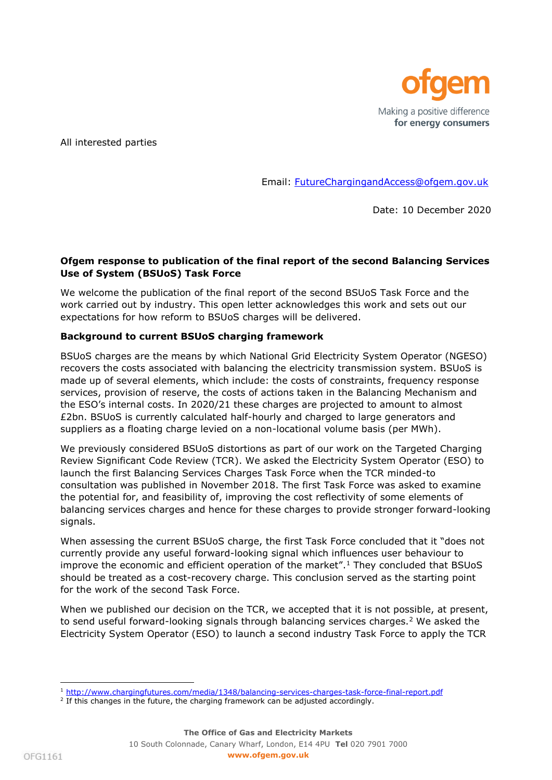

All interested parties

Email: [FutureChargingandAccess@ofgem.gov.uk](mailto:FutureChargingandAccess@ofgem.gov.uk)

Date: 10 December 2020

## **Ofgem response to publication of the final report of the second Balancing Services Use of System (BSUoS) Task Force**

We welcome the publication of the final report of the second BSUoS Task Force and the work carried out by industry. This open letter acknowledges this work and sets out our expectations for how reform to BSUoS charges will be delivered.

### **Background to current BSUoS charging framework**

BSUoS charges are the means by which National Grid Electricity System Operator (NGESO) recovers the costs associated with balancing the electricity transmission system. BSUoS is made up of several elements, which include: the costs of constraints, frequency response services, provision of reserve, the costs of actions taken in the Balancing Mechanism and the ESO's internal costs. In 2020/21 these charges are projected to amount to almost £2bn. BSUoS is currently calculated half-hourly and charged to large generators and suppliers as a floating charge levied on a non-locational volume basis (per MWh).

We previously considered BSUoS distortions as part of our work on the Targeted Charging Review Significant Code Review (TCR). We asked the Electricity System Operator (ESO) to launch the first Balancing Services Charges Task Force when the TCR minded-to consultation was published in November 2018. The first Task Force was asked to examine the potential for, and feasibility of, improving the cost reflectivity of some elements of balancing services charges and hence for these charges to provide stronger forward-looking signals.

When assessing the current BSUoS charge, the first Task Force concluded that it "does not currently provide any useful forward-looking signal which influences user behaviour to improve the economic and efficient operation of the market".<sup>1</sup> They concluded that BSUoS should be treated as a cost-recovery charge. This conclusion served as the starting point for the work of the second Task Force.

When we published our decision on the TCR, we accepted that it is not possible, at present, to send useful forward-looking signals through balancing services charges.<sup>2</sup> We asked the Electricity System Operator (ESO) to launch a second industry Task Force to apply the TCR

j. <sup>1</sup> <http://www.chargingfutures.com/media/1348/balancing-services-charges-task-force-final-report.pdf>

<sup>&</sup>lt;sup>2</sup> If this changes in the future, the charging framework can be adjusted accordingly.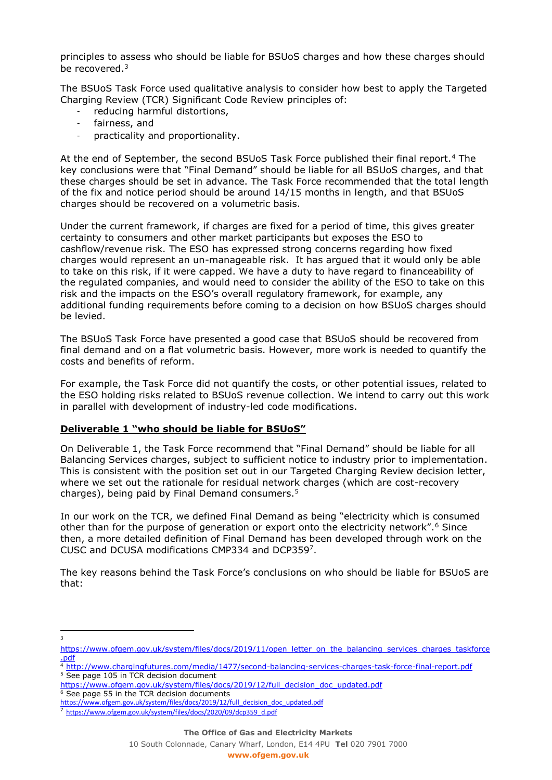principles to assess who should be liable for BSUoS charges and how these charges should be recovered.<sup>3</sup>

The BSUoS Task Force used qualitative analysis to consider how best to apply the Targeted Charging Review (TCR) Significant Code Review principles of:

- reducing harmful distortions,
- fairness, and
- practicality and proportionality.

At the end of September, the second BSUoS Task Force published their final report.<sup>4</sup> The key conclusions were that "Final Demand" should be liable for all BSUoS charges, and that these charges should be set in advance. The Task Force recommended that the total length of the fix and notice period should be around 14/15 months in length, and that BSUoS charges should be recovered on a volumetric basis.

Under the current framework, if charges are fixed for a period of time, this gives greater certainty to consumers and other market participants but exposes the ESO to cashflow/revenue risk. The ESO has expressed strong concerns regarding how fixed charges would represent an un-manageable risk. It has argued that it would only be able to take on this risk, if it were capped. We have a duty to have regard to financeability of the regulated companies, and would need to consider the ability of the ESO to take on this risk and the impacts on the ESO's overall regulatory framework, for example, any additional funding requirements before coming to a decision on how BSUoS charges should be levied.

The BSUoS Task Force have presented a good case that BSUoS should be recovered from final demand and on a flat volumetric basis. However, more work is needed to quantify the costs and benefits of reform.

For example, the Task Force did not quantify the costs, or other potential issues, related to the ESO holding risks related to BSUoS revenue collection. We intend to carry out this work in parallel with development of industry-led code modifications.

# **Deliverable 1 "who should be liable for BSUoS"**

On Deliverable 1, the Task Force recommend that "Final Demand" should be liable for all Balancing Services charges, subject to sufficient notice to industry prior to implementation. This is consistent with the position set out in our Targeted Charging Review decision letter, where we set out the rationale for residual network charges (which are cost-recovery charges), being paid by Final Demand consumers.<sup>5</sup>

In our work on the TCR, we defined Final Demand as being "electricity which is consumed other than for the purpose of generation or export onto the electricity network".<sup>6</sup> Since then, a more detailed definition of Final Demand has been developed through work on the CUSC and DCUSA modifications CMP334 and DCP359<sup>7</sup> .

The key reasons behind the Task Force's conclusions on who should be liable for BSUoS are that:

<sup>6</sup> See page 55 in the TCR decision documents [https://www.ofgem.gov.uk/system/files/docs/2019/12/full\\_decision\\_doc\\_updated.pdf](https://www.ofgem.gov.uk/system/files/docs/2019/12/full_decision_doc_updated.pdf)

10 South Colonnade, Canary Wharf, London, E14 4PU **Tel** 020 7901 7000

<sup>&</sup>lt;sup>2</sup><br>3

[https://www.ofgem.gov.uk/system/files/docs/2019/11/open\\_letter\\_on\\_the\\_balancing\\_services\\_charges\\_taskforce](https://www.ofgem.gov.uk/system/files/docs/2019/11/open_letter_on_the_balancing_services_charges_taskforce.pdf) [.pdf](https://www.ofgem.gov.uk/system/files/docs/2019/11/open_letter_on_the_balancing_services_charges_taskforce.pdf)

<sup>4</sup> <http://www.chargingfutures.com/media/1477/second-balancing-services-charges-task-force-final-report.pdf>

<sup>&</sup>lt;sup>5</sup> See page 105 in TCR decision document

[https://www.ofgem.gov.uk/system/files/docs/2019/12/full\\_decision\\_doc\\_updated.pdf](https://www.ofgem.gov.uk/system/files/docs/2019/12/full_decision_doc_updated.pdf)

<sup>7</sup> [https://www.ofgem.gov.uk/system/files/docs/2020/09/dcp359\\_d.pdf](https://www.ofgem.gov.uk/system/files/docs/2020/09/dcp359_d.pdf)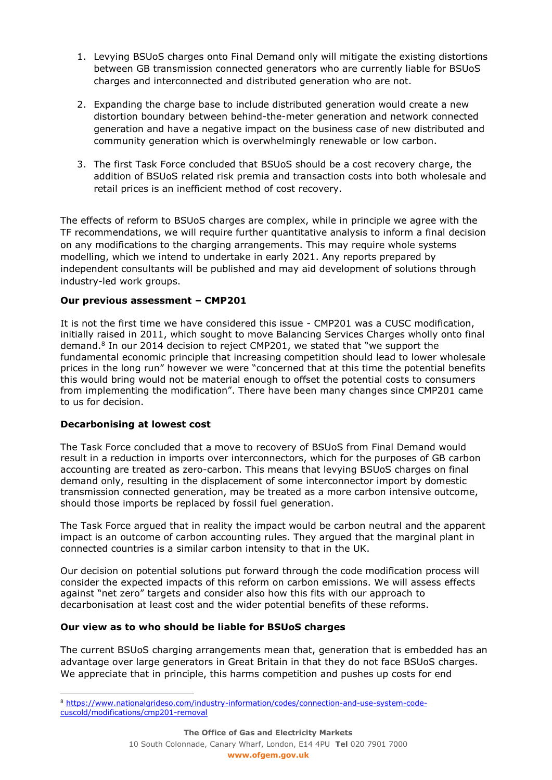- 1. Levying BSUoS charges onto Final Demand only will mitigate the existing distortions between GB transmission connected generators who are currently liable for BSUoS charges and interconnected and distributed generation who are not.
- 2. Expanding the charge base to include distributed generation would create a new distortion boundary between behind-the-meter generation and network connected generation and have a negative impact on the business case of new distributed and community generation which is overwhelmingly renewable or low carbon.
- 3. The first Task Force concluded that BSUoS should be a cost recovery charge, the addition of BSUoS related risk premia and transaction costs into both wholesale and retail prices is an inefficient method of cost recovery.

The effects of reform to BSUoS charges are complex, while in principle we agree with the TF recommendations, we will require further quantitative analysis to inform a final decision on any modifications to the charging arrangements. This may require whole systems modelling, which we intend to undertake in early 2021. Any reports prepared by independent consultants will be published and may aid development of solutions through industry-led work groups.

### **Our previous assessment – CMP201**

It is not the first time we have considered this issue - CMP201 was a CUSC modification, initially raised in 2011, which sought to move Balancing Services Charges wholly onto final demand.<sup>8</sup> In our 2014 decision to reject CMP201, we stated that "we support the fundamental economic principle that increasing competition should lead to lower wholesale prices in the long run" however we were "concerned that at this time the potential benefits this would bring would not be material enough to offset the potential costs to consumers from implementing the modification". There have been many changes since CMP201 came to us for decision.

### **Decarbonising at lowest cost**

ł

The Task Force concluded that a move to recovery of BSUoS from Final Demand would result in a reduction in imports over interconnectors, which for the purposes of GB carbon accounting are treated as zero-carbon. This means that levying BSUoS charges on final demand only, resulting in the displacement of some interconnector import by domestic transmission connected generation, may be treated as a more carbon intensive outcome, should those imports be replaced by fossil fuel generation.

The Task Force argued that in reality the impact would be carbon neutral and the apparent impact is an outcome of carbon accounting rules. They argued that the marginal plant in connected countries is a similar carbon intensity to that in the UK.

Our decision on potential solutions put forward through the code modification process will consider the expected impacts of this reform on carbon emissions. We will assess effects against "net zero" targets and consider also how this fits with our approach to decarbonisation at least cost and the wider potential benefits of these reforms.

### **Our view as to who should be liable for BSUoS charges**

The current BSUoS charging arrangements mean that, generation that is embedded has an advantage over large generators in Great Britain in that they do not face BSUoS charges. We appreciate that in principle, this harms competition and pushes up costs for end

<sup>8</sup> [https://www.nationalgrideso.com/industry-information/codes/connection-and-use-system-code](https://www.nationalgrideso.com/industry-information/codes/connection-and-use-system-code-cuscold/modifications/cmp201-removal)[cuscold/modifications/cmp201-removal](https://www.nationalgrideso.com/industry-information/codes/connection-and-use-system-code-cuscold/modifications/cmp201-removal)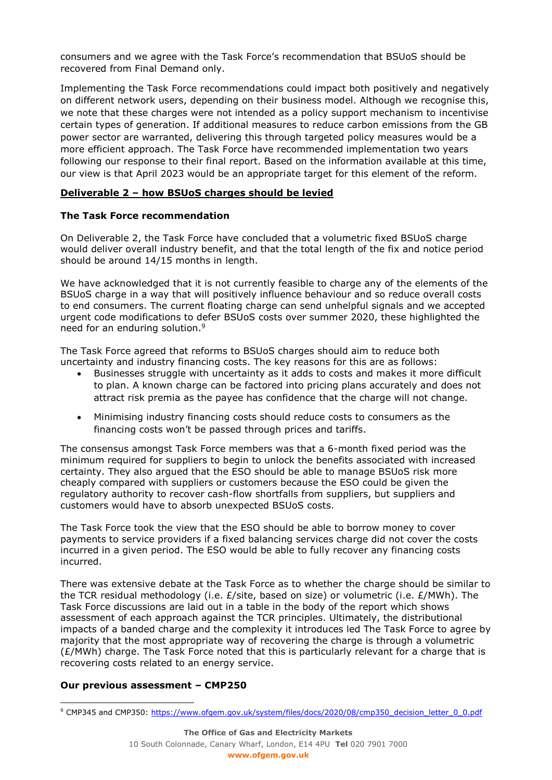consumers and we agree with the Task Force's recommendation that BSUoS should be recovered from Final Demand only.

Implementing the Task Force recommendations could impact both positively and negatively on different network users, depending on their business model. Although we recognise this, we note that these charges were not intended as a policy support mechanism to incentivise certain types of generation. If additional measures to reduce carbon emissions from the GB power sector are warranted, delivering this through targeted policy measures would be a more efficient approach. The Task Force have recommended implementation two years following our response to their final report. Based on the information available at this time, our view is that April 2023 would be an appropriate target for this element of the reform.

### **Deliverable 2 – how BSUoS charges should be levied**

### **The Task Force recommendation**

On Deliverable 2, the Task Force have concluded that a volumetric fixed BSUoS charge would deliver overall industry benefit, and that the total length of the fix and notice period should be around 14/15 months in length.

We have acknowledged that it is not currently feasible to charge any of the elements of the BSUoS charge in a way that will positively influence behaviour and so reduce overall costs to end consumers. The current floating charge can send unhelpful signals and we accepted urgent code modifications to defer BSUoS costs over summer 2020, these highlighted the need for an enduring solution.<sup>9</sup>

The Task Force agreed that reforms to BSUoS charges should aim to reduce both uncertainty and industry financing costs. The key reasons for this are as follows:

- Businesses struggle with uncertainty as it adds to costs and makes it more difficult to plan. A known charge can be factored into pricing plans accurately and does not attract risk premia as the payee has confidence that the charge will not change.
- Minimising industry financing costs should reduce costs to consumers as the financing costs won't be passed through prices and tariffs.

The consensus amongst Task Force members was that a 6-month fixed period was the minimum required for suppliers to begin to unlock the benefits associated with increased certainty. They also argued that the ESO should be able to manage BSUoS risk more cheaply compared with suppliers or customers because the ESO could be given the regulatory authority to recover cash-flow shortfalls from suppliers, but suppliers and customers would have to absorb unexpected BSUoS costs.

The Task Force took the view that the ESO should be able to borrow money to cover payments to service providers if a fixed balancing services charge did not cover the costs incurred in a given period. The ESO would be able to fully recover any financing costs incurred.

There was extensive debate at the Task Force as to whether the charge should be similar to the TCR residual methodology (i.e. £/site, based on size) or volumetric (i.e. £/MWh). The Task Force discussions are laid out in a table in the body of the report which shows assessment of each approach against the TCR principles. Ultimately, the distributional impacts of a banded charge and the complexity it introduces led The Task Force to agree by majority that the most appropriate way of recovering the charge is through a volumetric  $(E/MWh)$  charge. The Task Force noted that this is particularly relevant for a charge that is recovering costs related to an energy service.

### **Our previous assessment – CMP250**

ł

<sup>&</sup>lt;sup>9</sup> CMP345 and CMP350: [https://www.ofgem.gov.uk/system/files/docs/2020/08/cmp350\\_decision\\_letter\\_0\\_0.pdf](https://www.ofgem.gov.uk/system/files/docs/2020/08/cmp350_decision_letter_0_0.pdf)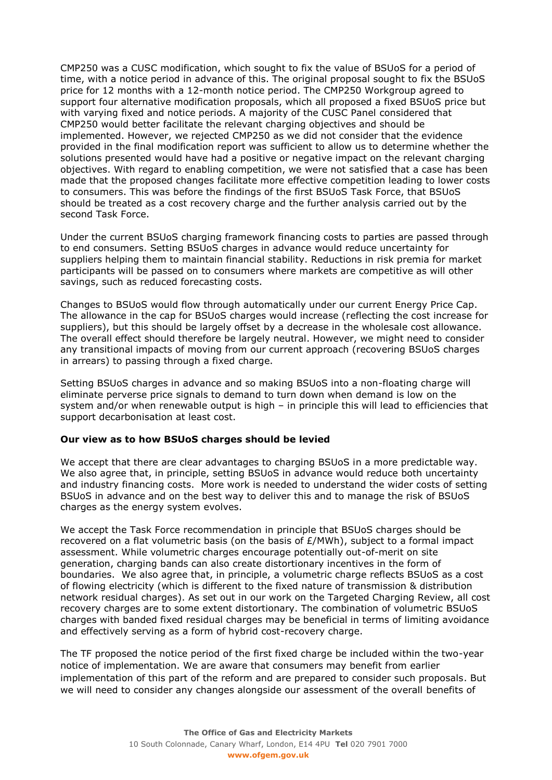CMP250 was a CUSC modification, which sought to fix the value of BSUoS for a period of time, with a notice period in advance of this. The original proposal sought to fix the BSUoS price for 12 months with a 12-month notice period. The CMP250 Workgroup agreed to support four alternative modification proposals, which all proposed a fixed BSUoS price but with varying fixed and notice periods. A majority of the CUSC Panel considered that CMP250 would better facilitate the relevant charging objectives and should be implemented. However, we rejected CMP250 as we did not consider that the evidence provided in the final modification report was sufficient to allow us to determine whether the solutions presented would have had a positive or negative impact on the relevant charging objectives. With regard to enabling competition, we were not satisfied that a case has been made that the proposed changes facilitate more effective competition leading to lower costs to consumers. This was before the findings of the first BSUoS Task Force, that BSUoS should be treated as a cost recovery charge and the further analysis carried out by the second Task Force.

Under the current BSUoS charging framework financing costs to parties are passed through to end consumers. Setting BSUoS charges in advance would reduce uncertainty for suppliers helping them to maintain financial stability. Reductions in risk premia for market participants will be passed on to consumers where markets are competitive as will other savings, such as reduced forecasting costs.

Changes to BSUoS would flow through automatically under our current Energy Price Cap. The allowance in the cap for BSUoS charges would increase (reflecting the cost increase for suppliers), but this should be largely offset by a decrease in the wholesale cost allowance. The overall effect should therefore be largely neutral. However, we might need to consider any transitional impacts of moving from our current approach (recovering BSUoS charges in arrears) to passing through a fixed charge.

Setting BSUoS charges in advance and so making BSUoS into a non-floating charge will eliminate perverse price signals to demand to turn down when demand is low on the system and/or when renewable output is high – in principle this will lead to efficiencies that support decarbonisation at least cost.

### **Our view as to how BSUoS charges should be levied**

We accept that there are clear advantages to charging BSUoS in a more predictable way. We also agree that, in principle, setting BSUoS in advance would reduce both uncertainty and industry financing costs. More work is needed to understand the wider costs of setting BSUoS in advance and on the best way to deliver this and to manage the risk of BSUoS charges as the energy system evolves.

We accept the Task Force recommendation in principle that BSUoS charges should be recovered on a flat volumetric basis (on the basis of  $E/MWh$ ), subject to a formal impact assessment. While volumetric charges encourage potentially out-of-merit on site generation, charging bands can also create distortionary incentives in the form of boundaries. We also agree that, in principle, a volumetric charge reflects BSUoS as a cost of flowing electricity (which is different to the fixed nature of transmission & distribution network residual charges). As set out in our work on the Targeted Charging Review, all cost recovery charges are to some extent distortionary. The combination of volumetric BSUoS charges with banded fixed residual charges may be beneficial in terms of limiting avoidance and effectively serving as a form of hybrid cost-recovery charge.

The TF proposed the notice period of the first fixed charge be included within the two-year notice of implementation. We are aware that consumers may benefit from earlier implementation of this part of the reform and are prepared to consider such proposals. But we will need to consider any changes alongside our assessment of the overall benefits of